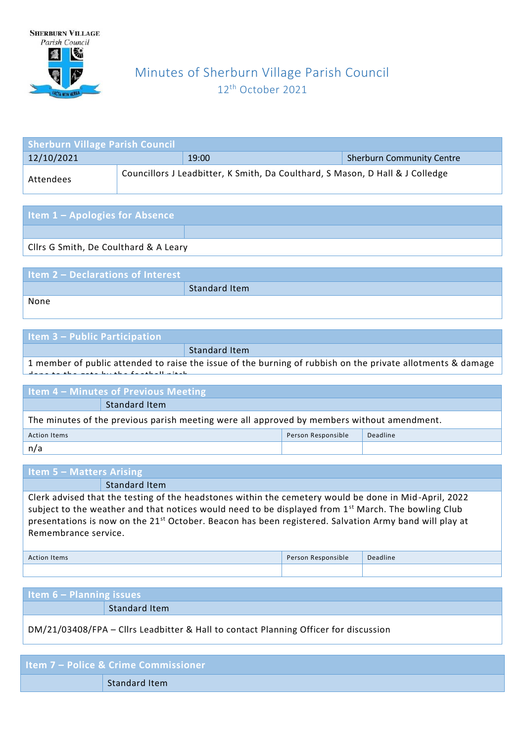

done to the gate by the football pitch.

# Minutes of Sherburn Village Parish Council 12 th October 2021

| <b>Sherburn Village Parish Council</b>                                                     |  |       |                                  |  |  |
|--------------------------------------------------------------------------------------------|--|-------|----------------------------------|--|--|
| 12/10/2021                                                                                 |  | 19:00 | <b>Sherburn Community Centre</b> |  |  |
| Councillors J Leadbitter, K Smith, Da Coulthard, S Mason, D Hall & J Colledge<br>Attendees |  |       |                                  |  |  |

| <b>Item 1 - Apologies for Absence</b>  |  |
|----------------------------------------|--|
|                                        |  |
| Cllrs G Smith, De Coulthard & A Leary  |  |
|                                        |  |
| <b>Itam 2</b> Declarations of Interact |  |

| Item 2 - Declarations of Interest |               |
|-----------------------------------|---------------|
|                                   | Standard Item |
| None                              |               |

| <b>Item 3 – Public Participation</b> |                                                                                                             |
|--------------------------------------|-------------------------------------------------------------------------------------------------------------|
|                                      | Standard Item                                                                                               |
|                                      | 1 member of public attended to raise the issue of the burning of rubbish on the private allotments & damage |

| <b>Item 4 - Minutes of Previous Meeting</b>                                                |  |  |  |
|--------------------------------------------------------------------------------------------|--|--|--|
| Standard Item                                                                              |  |  |  |
| The minutes of the previous parish meeting were all approved by members without amendment. |  |  |  |
| Person Responsible<br>Deadline<br><b>Action Items</b>                                      |  |  |  |
| n/a                                                                                        |  |  |  |

| <b>Item 5 – Matters Arising</b>                                                                                                                                                                                                                                                                                                                                        |               |  |  |
|------------------------------------------------------------------------------------------------------------------------------------------------------------------------------------------------------------------------------------------------------------------------------------------------------------------------------------------------------------------------|---------------|--|--|
|                                                                                                                                                                                                                                                                                                                                                                        | Standard Item |  |  |
| Clerk advised that the testing of the headstones within the cemetery would be done in Mid-April, 2022<br>subject to the weather and that notices would need to be displayed from 1 <sup>st</sup> March. The bowling Club<br>presentations is now on the 21 <sup>st</sup> October. Beacon has been registered. Salvation Army band will play at<br>Remembrance service. |               |  |  |
| Deadline<br>Person Responsible<br><b>Action Items</b>                                                                                                                                                                                                                                                                                                                  |               |  |  |
|                                                                                                                                                                                                                                                                                                                                                                        |               |  |  |

| <b>Item 6 – Planning issues</b>                                                      |               |  |
|--------------------------------------------------------------------------------------|---------------|--|
|                                                                                      | Standard Item |  |
| DM/21/03408/FPA - Cllrs Leadbitter & Hall to contact Planning Officer for discussion |               |  |

| <b>Item 7 – Police &amp; Crime Commissioner</b> |
|-------------------------------------------------|
| Standard Item                                   |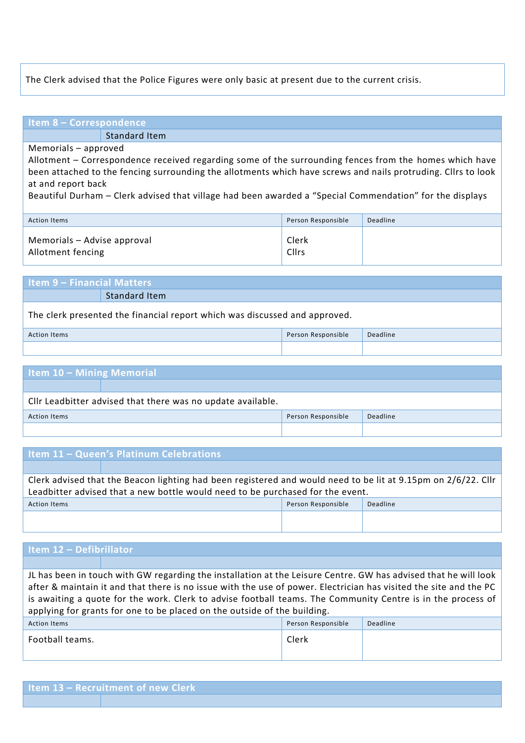#### The Clerk advised that the Police Figures were only basic at present due to the current crisis.

## **Item 8 – Correspondence**

Standard Item

#### Memorials – approved

Allotment – Correspondence received regarding some of the surrounding fences from the homes which have been attached to the fencing surrounding the allotments which have screws and nails protruding. Cllrs to look at and report back

Beautiful Durham – Clerk advised that village had been awarded a "Special Commendation" for the displays

| Action Items                                     | Person Responsible | Deadline |
|--------------------------------------------------|--------------------|----------|
| Memorials - Advise approval<br>Allotment fencing | Clerk<br>Cllrs     |          |

#### **Item 9 – Financial Matters** Standard Item

#### The clerk presented the financial report which was discussed and approved.

| <b>Action Items</b> | Person Responsible | Deadline |
|---------------------|--------------------|----------|
|                     |                    |          |

## **Item 10 – Mining Memorial**

| Cllr Leadbitter advised that there was no update available. |  |  |  |
|-------------------------------------------------------------|--|--|--|
| Deadline<br>Person Responsible<br>Action Items              |  |  |  |
|                                                             |  |  |  |

### **Item 11 – Queen's Platinum Celebrations**

Clerk advised that the Beacon lighting had been registered and would need to be lit at 9.15pm on 2/6/22. Cllr Leadbitter advised that a new bottle would need to be purchased for the event. Action Items Person Responsible Deadline

| Item 12 - Defibrillator                                                                                                                                                                                                                                                                                                                                                                                                         |  |       |  |  |
|---------------------------------------------------------------------------------------------------------------------------------------------------------------------------------------------------------------------------------------------------------------------------------------------------------------------------------------------------------------------------------------------------------------------------------|--|-------|--|--|
|                                                                                                                                                                                                                                                                                                                                                                                                                                 |  |       |  |  |
| JL has been in touch with GW regarding the installation at the Leisure Centre. GW has advised that he will look<br>after & maintain it and that there is no issue with the use of power. Electrician has visited the site and the PC<br>is awaiting a quote for the work. Clerk to advise football teams. The Community Centre is in the process of<br>applying for grants for one to be placed on the outside of the building. |  |       |  |  |
| Deadline<br>Person Responsible<br><b>Action Items</b>                                                                                                                                                                                                                                                                                                                                                                           |  |       |  |  |
| Football teams.                                                                                                                                                                                                                                                                                                                                                                                                                 |  | Clerk |  |  |

|  |  | Item 13 - Recruitment of new Clerk |  |  |
|--|--|------------------------------------|--|--|
|--|--|------------------------------------|--|--|